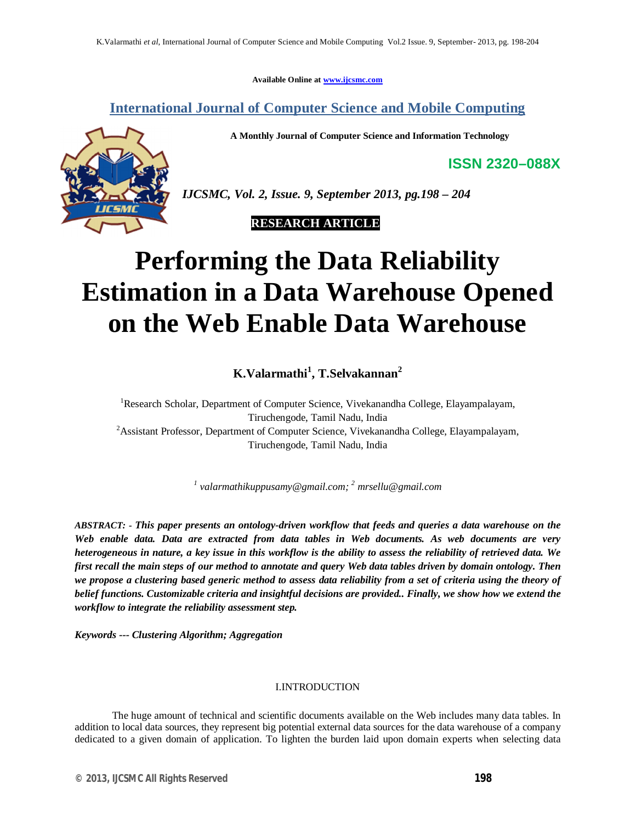**Available Online at www.ijcsmc.com**

**International Journal of Computer Science and Mobile Computing**

**A Monthly Journal of Computer Science and Information Technology**

**ISSN 2320–088X**



*IJCSMC, Vol. 2, Issue. 9, September 2013, pg.198 – 204*

 **RESEARCH ARTICLE**

# **Performing the Data Reliability Estimation in a Data Warehouse Opened on the Web Enable Data Warehouse**

**K.Valarmathi<sup>1</sup> , T.Selvakannan<sup>2</sup>**

<sup>1</sup>Research Scholar, Department of Computer Science, Vivekanandha College, Elayampalayam, Tiruchengode, Tamil Nadu, India <sup>2</sup> Assistant Professor, Department of Computer Science, Vivekanandha College, Elayampalayam, Tiruchengode, Tamil Nadu, India

*1 valarmathikuppusamy@gmail.com; <sup>2</sup> mrsellu@gmail.com*

*ABSTRACT: - This paper presents an ontology-driven workflow that feeds and queries a data warehouse on the Web enable data. Data are extracted from data tables in Web documents. As web documents are very heterogeneous in nature, a key issue in this workflow is the ability to assess the reliability of retrieved data. We first recall the main steps of our method to annotate and query Web data tables driven by domain ontology. Then we propose a clustering based generic method to assess data reliability from a set of criteria using the theory of belief functions. Customizable criteria and insightful decisions are provided.. Finally, we show how we extend the workflow to integrate the reliability assessment step.*

*Keywords --- Clustering Algorithm; Aggregation*

## I.INTRODUCTION

The huge amount of technical and scientific documents available on the Web includes many data tables. In addition to local data sources, they represent big potential external data sources for the data warehouse of a company dedicated to a given domain of application. To lighten the burden laid upon domain experts when selecting data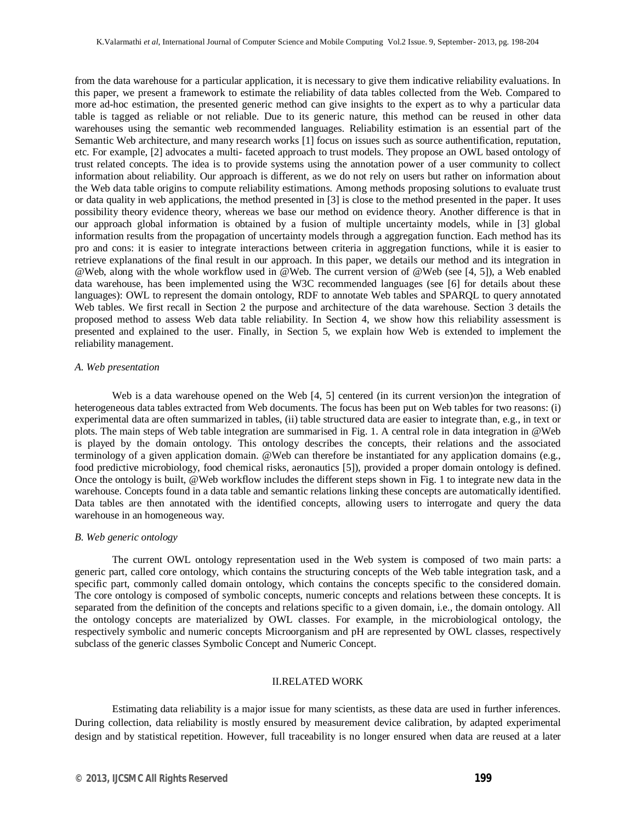from the data warehouse for a particular application, it is necessary to give them indicative reliability evaluations. In this paper, we present a framework to estimate the reliability of data tables collected from the Web. Compared to more ad-hoc estimation, the presented generic method can give insights to the expert as to why a particular data table is tagged as reliable or not reliable. Due to its generic nature, this method can be reused in other data warehouses using the semantic web recommended languages. Reliability estimation is an essential part of the Semantic Web architecture, and many research works [1] focus on issues such as source authentification, reputation, etc. For example, [2] advocates a multi- faceted approach to trust models. They propose an OWL based ontology of trust related concepts. The idea is to provide systems using the annotation power of a user community to collect information about reliability. Our approach is different, as we do not rely on users but rather on information about the Web data table origins to compute reliability estimations. Among methods proposing solutions to evaluate trust or data quality in web applications, the method presented in [3] is close to the method presented in the paper. It uses possibility theory evidence theory, whereas we base our method on evidence theory. Another difference is that in our approach global information is obtained by a fusion of multiple uncertainty models, while in [3] global information results from the propagation of uncertainty models through a aggregation function. Each method has its pro and cons: it is easier to integrate interactions between criteria in aggregation functions, while it is easier to retrieve explanations of the final result in our approach. In this paper, we details our method and its integration in @Web, along with the whole workflow used in @Web. The current version of @Web (see [4, 5]), a Web enabled data warehouse, has been implemented using the W3C recommended languages (see [6] for details about these languages): OWL to represent the domain ontology, RDF to annotate Web tables and SPARQL to query annotated Web tables. We first recall in Section 2 the purpose and architecture of the data warehouse. Section 3 details the proposed method to assess Web data table reliability. In Section 4, we show how this reliability assessment is presented and explained to the user. Finally, in Section 5, we explain how Web is extended to implement the reliability management.

### *A. Web presentation*

Web is a data warehouse opened on the Web [4, 5] centered (in its current version) on the integration of heterogeneous data tables extracted from Web documents. The focus has been put on Web tables for two reasons: (i) experimental data are often summarized in tables, (ii) table structured data are easier to integrate than, e.g., in text or plots. The main steps of Web table integration are summarised in Fig. 1. A central role in data integration in @Web is played by the domain ontology. This ontology describes the concepts, their relations and the associated terminology of a given application domain. @Web can therefore be instantiated for any application domains (e.g., food predictive microbiology, food chemical risks, aeronautics [5]), provided a proper domain ontology is defined. Once the ontology is built, @Web workflow includes the different steps shown in Fig. 1 to integrate new data in the warehouse. Concepts found in a data table and semantic relations linking these concepts are automatically identified. Data tables are then annotated with the identified concepts, allowing users to interrogate and query the data warehouse in an homogeneous way.

## *B. Web generic ontology*

The current OWL ontology representation used in the Web system is composed of two main parts: a generic part, called core ontology, which contains the structuring concepts of the Web table integration task, and a specific part, commonly called domain ontology, which contains the concepts specific to the considered domain. The core ontology is composed of symbolic concepts, numeric concepts and relations between these concepts. It is separated from the definition of the concepts and relations specific to a given domain, i.e., the domain ontology. All the ontology concepts are materialized by OWL classes. For example, in the microbiological ontology, the respectively symbolic and numeric concepts Microorganism and pH are represented by OWL classes, respectively subclass of the generic classes Symbolic Concept and Numeric Concept.

## II.RELATED WORK

Estimating data reliability is a major issue for many scientists, as these data are used in further inferences. During collection, data reliability is mostly ensured by measurement device calibration, by adapted experimental design and by statistical repetition. However, full traceability is no longer ensured when data are reused at a later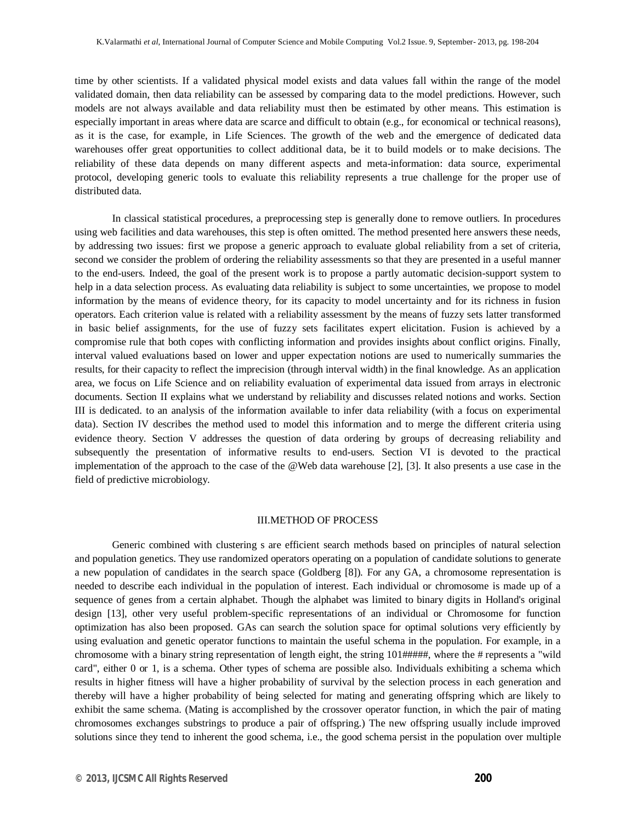time by other scientists. If a validated physical model exists and data values fall within the range of the model validated domain, then data reliability can be assessed by comparing data to the model predictions. However, such models are not always available and data reliability must then be estimated by other means. This estimation is especially important in areas where data are scarce and difficult to obtain (e.g., for economical or technical reasons), as it is the case, for example, in Life Sciences. The growth of the web and the emergence of dedicated data warehouses offer great opportunities to collect additional data, be it to build models or to make decisions. The reliability of these data depends on many different aspects and meta-information: data source, experimental protocol, developing generic tools to evaluate this reliability represents a true challenge for the proper use of distributed data.

In classical statistical procedures, a preprocessing step is generally done to remove outliers. In procedures using web facilities and data warehouses, this step is often omitted. The method presented here answers these needs, by addressing two issues: first we propose a generic approach to evaluate global reliability from a set of criteria, second we consider the problem of ordering the reliability assessments so that they are presented in a useful manner to the end-users. Indeed, the goal of the present work is to propose a partly automatic decision-support system to help in a data selection process. As evaluating data reliability is subject to some uncertainties, we propose to model information by the means of evidence theory, for its capacity to model uncertainty and for its richness in fusion operators. Each criterion value is related with a reliability assessment by the means of fuzzy sets latter transformed in basic belief assignments, for the use of fuzzy sets facilitates expert elicitation. Fusion is achieved by a compromise rule that both copes with conflicting information and provides insights about conflict origins. Finally, interval valued evaluations based on lower and upper expectation notions are used to numerically summaries the results, for their capacity to reflect the imprecision (through interval width) in the final knowledge. As an application area, we focus on Life Science and on reliability evaluation of experimental data issued from arrays in electronic documents. Section II explains what we understand by reliability and discusses related notions and works. Section III is dedicated. to an analysis of the information available to infer data reliability (with a focus on experimental data). Section IV describes the method used to model this information and to merge the different criteria using evidence theory. Section V addresses the question of data ordering by groups of decreasing reliability and subsequently the presentation of informative results to end-users. Section VI is devoted to the practical implementation of the approach to the case of the @Web data warehouse [2], [3]. It also presents a use case in the field of predictive microbiology.

## III.METHOD OF PROCESS

Generic combined with clustering s are efficient search methods based on principles of natural selection and population genetics. They use randomized operators operating on a population of candidate solutions to generate a new population of candidates in the search space (Goldberg [8]). For any GA, a chromosome representation is needed to describe each individual in the population of interest. Each individual or chromosome is made up of a sequence of genes from a certain alphabet. Though the alphabet was limited to binary digits in Holland's original design [13], other very useful problem-specific representations of an individual or Chromosome for function optimization has also been proposed. GAs can search the solution space for optimal solutions very efficiently by using evaluation and genetic operator functions to maintain the useful schema in the population. For example, in a chromosome with a binary string representation of length eight, the string 101#####, where the # represents a "wild card", either 0 or 1, is a schema. Other types of schema are possible also. Individuals exhibiting a schema which results in higher fitness will have a higher probability of survival by the selection process in each generation and thereby will have a higher probability of being selected for mating and generating offspring which are likely to exhibit the same schema. (Mating is accomplished by the crossover operator function, in which the pair of mating chromosomes exchanges substrings to produce a pair of offspring.) The new offspring usually include improved solutions since they tend to inherent the good schema, i.e., the good schema persist in the population over multiple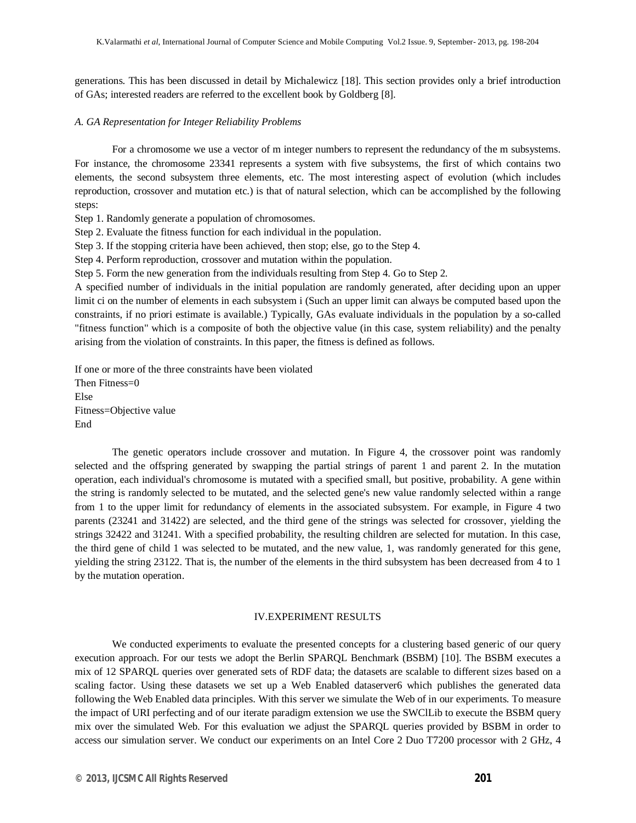generations. This has been discussed in detail by Michalewicz [18]. This section provides only a brief introduction of GAs; interested readers are referred to the excellent book by Goldberg [8].

## *A. GA Representation for Integer Reliability Problems*

For a chromosome we use a vector of m integer numbers to represent the redundancy of the m subsystems. For instance, the chromosome 23341 represents a system with five subsystems, the first of which contains two elements, the second subsystem three elements, etc. The most interesting aspect of evolution (which includes reproduction, crossover and mutation etc.) is that of natural selection, which can be accomplished by the following steps:

Step 1. Randomly generate a population of chromosomes.

Step 2. Evaluate the fitness function for each individual in the population.

Step 3. If the stopping criteria have been achieved, then stop; else, go to the Step 4.

Step 4. Perform reproduction, crossover and mutation within the population.

Step 5. Form the new generation from the individuals resulting from Step 4. Go to Step 2.

A specified number of individuals in the initial population are randomly generated, after deciding upon an upper limit ci on the number of elements in each subsystem i (Such an upper limit can always be computed based upon the constraints, if no priori estimate is available.) Typically, GAs evaluate individuals in the population by a so-called "fitness function" which is a composite of both the objective value (in this case, system reliability) and the penalty arising from the violation of constraints. In this paper, the fitness is defined as follows.

If one or more of the three constraints have been violated Then Fitness=0 Else Fitness=Objective value End

The genetic operators include crossover and mutation. In Figure 4, the crossover point was randomly selected and the offspring generated by swapping the partial strings of parent 1 and parent 2. In the mutation operation, each individual's chromosome is mutated with a specified small, but positive, probability. A gene within the string is randomly selected to be mutated, and the selected gene's new value randomly selected within a range from 1 to the upper limit for redundancy of elements in the associated subsystem. For example, in Figure 4 two parents (23241 and 31422) are selected, and the third gene of the strings was selected for crossover, yielding the strings 32422 and 31241. With a specified probability, the resulting children are selected for mutation. In this case, the third gene of child 1 was selected to be mutated, and the new value, 1, was randomly generated for this gene, yielding the string 23122. That is, the number of the elements in the third subsystem has been decreased from 4 to 1 by the mutation operation.

## IV.EXPERIMENT RESULTS

We conducted experiments to evaluate the presented concepts for a clustering based generic of our query execution approach. For our tests we adopt the Berlin SPARQL Benchmark (BSBM) [10]. The BSBM executes a mix of 12 SPARQL queries over generated sets of RDF data; the datasets are scalable to different sizes based on a scaling factor. Using these datasets we set up a Web Enabled dataserver6 which publishes the generated data following the Web Enabled data principles. With this server we simulate the Web of in our experiments. To measure the impact of URI perfecting and of our iterate paradigm extension we use the SWClLib to execute the BSBM query mix over the simulated Web. For this evaluation we adjust the SPARQL queries provided by BSBM in order to access our simulation server. We conduct our experiments on an Intel Core 2 Duo T7200 processor with 2 GHz, 4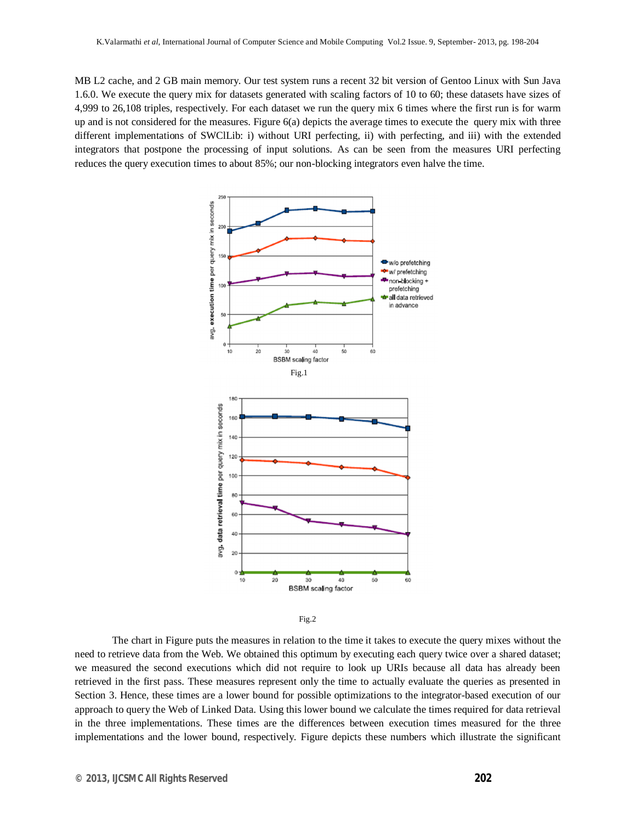MB L2 cache, and 2 GB main memory. Our test system runs a recent 32 bit version of Gentoo Linux with Sun Java 1.6.0. We execute the query mix for datasets generated with scaling factors of 10 to 60; these datasets have sizes of 4,999 to 26,108 triples, respectively. For each dataset we run the query mix 6 times where the first run is for warm up and is not considered for the measures. Figure 6(a) depicts the average times to execute the query mix with three different implementations of SWClLib: i) without URI perfecting, ii) with perfecting, and iii) with the extended integrators that postpone the processing of input solutions. As can be seen from the measures URI perfecting reduces the query execution times to about 85%; our non-blocking integrators even halve the time.



Fig.2

The chart in Figure puts the measures in relation to the time it takes to execute the query mixes without the need to retrieve data from the Web. We obtained this optimum by executing each query twice over a shared dataset; we measured the second executions which did not require to look up URIs because all data has already been retrieved in the first pass. These measures represent only the time to actually evaluate the queries as presented in Section 3. Hence, these times are a lower bound for possible optimizations to the integrator-based execution of our approach to query the Web of Linked Data. Using this lower bound we calculate the times required for data retrieval in the three implementations. These times are the differences between execution times measured for the three implementations and the lower bound, respectively. Figure depicts these numbers which illustrate the significant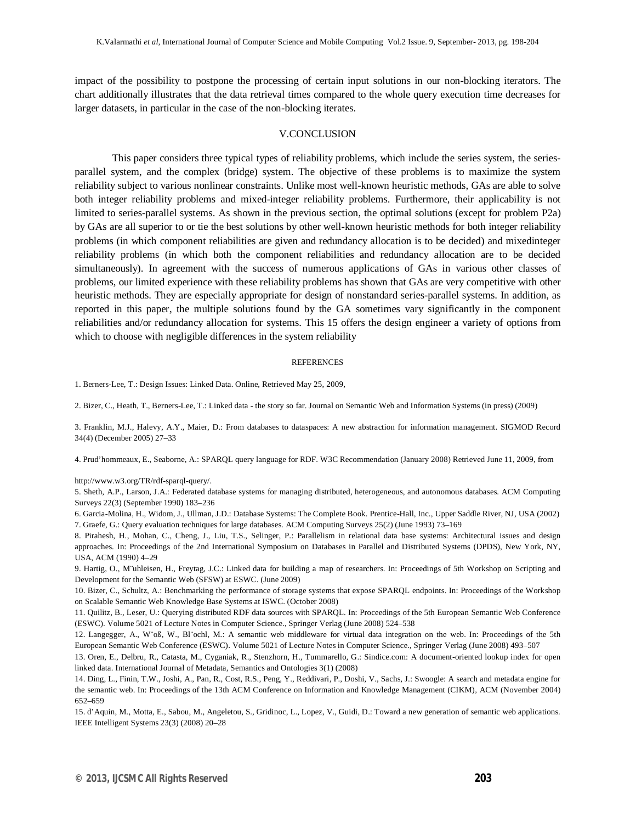impact of the possibility to postpone the processing of certain input solutions in our non-blocking iterators. The chart additionally illustrates that the data retrieval times compared to the whole query execution time decreases for larger datasets, in particular in the case of the non-blocking iterates.

### V.CONCLUSION

This paper considers three typical types of reliability problems, which include the series system, the seriesparallel system, and the complex (bridge) system. The objective of these problems is to maximize the system reliability subject to various nonlinear constraints. Unlike most well-known heuristic methods, GAs are able to solve both integer reliability problems and mixed-integer reliability problems. Furthermore, their applicability is not limited to series-parallel systems. As shown in the previous section, the optimal solutions (except for problem P2a) by GAs are all superior to or tie the best solutions by other well-known heuristic methods for both integer reliability problems (in which component reliabilities are given and redundancy allocation is to be decided) and mixedinteger reliability problems (in which both the component reliabilities and redundancy allocation are to be decided simultaneously). In agreement with the success of numerous applications of GAs in various other classes of problems, our limited experience with these reliability problems has shown that GAs are very competitive with other heuristic methods. They are especially appropriate for design of nonstandard series-parallel systems. In addition, as reported in this paper, the multiple solutions found by the GA sometimes vary significantly in the component reliabilities and/or redundancy allocation for systems. This 15 offers the design engineer a variety of options from which to choose with negligible differences in the system reliability

#### REFERENCES

1. Berners-Lee, T.: Design Issues: Linked Data. Online, Retrieved May 25, 2009,

2. Bizer, C., Heath, T., Berners-Lee, T.: Linked data - the story so far. Journal on Semantic Web and Information Systems (in press) (2009)

3. Franklin, M.J., Halevy, A.Y., Maier, D.: From databases to dataspaces: A new abstraction for information management. SIGMOD Record 34(4) (December 2005) 27–33

4. Prud'hommeaux, E., Seaborne, A.: SPARQL query language for RDF. W3C Recommendation (January 2008) Retrieved June 11, 2009, from

http://www.w3.org/TR/rdf-sparql-query/.

5. Sheth, A.P., Larson, J.A.: Federated database systems for managing distributed, heterogeneous, and autonomous databases. ACM Computing Surveys 22(3) (September 1990) 183–236

6. Garcia-Molina, H., Widom, J., Ullman, J.D.: Database Systems: The Complete Book. Prentice-Hall, Inc., Upper Saddle River, NJ, USA (2002) 7. Graefe, G.: Query evaluation techniques for large databases. ACM Computing Surveys 25(2) (June 1993) 73–169

8. Pirahesh, H., Mohan, C., Cheng, J., Liu, T.S., Selinger, P.: Parallelism in relational data base systems: Architectural issues and design approaches. In: Proceedings of the 2nd International Symposium on Databases in Parallel and Distributed Systems (DPDS), New York, NY, USA, ACM (1990) 4–29

9. Hartig, O., M¨uhleisen, H., Freytag, J.C.: Linked data for building a map of researchers. In: Proceedings of 5th Workshop on Scripting and Development for the Semantic Web (SFSW) at ESWC. (June 2009)

10. Bizer, C., Schultz, A.: Benchmarking the performance of storage systems that expose SPARQL endpoints. In: Proceedings of the Workshop on Scalable Semantic Web Knowledge Base Systems at ISWC. (October 2008)

11. Quilitz, B., Leser, U.: Querying distributed RDF data sources with SPARQL. In: Proceedings of the 5th European Semantic Web Conference (ESWC). Volume 5021 of Lecture Notes in Computer Science., Springer Verlag (June 2008) 524–538

12. Langegger, A., W¨oß, W., Bl¨ochl, M.: A semantic web middleware for virtual data integration on the web. In: Proceedings of the 5th European Semantic Web Conference (ESWC). Volume 5021 of Lecture Notes in Computer Science., Springer Verlag (June 2008) 493–507

13. Oren, E., Delbru, R., Catasta, M., Cyganiak, R., Stenzhorn, H., Tummarello, G.: Sindice.com: A document-oriented lookup index for open linked data. International Journal of Metadata, Semantics and Ontologies 3(1) (2008)

14. Ding, L., Finin, T.W., Joshi, A., Pan, R., Cost, R.S., Peng, Y., Reddivari, P., Doshi, V., Sachs, J.: Swoogle: A search and metadata engine for the semantic web. In: Proceedings of the 13th ACM Conference on Information and Knowledge Management (CIKM), ACM (November 2004) 652–659

15. d'Aquin, M., Motta, E., Sabou, M., Angeletou, S., Gridinoc, L., Lopez, V., Guidi, D.: Toward a new generation of semantic web applications. IEEE Intelligent Systems 23(3) (2008) 20–28